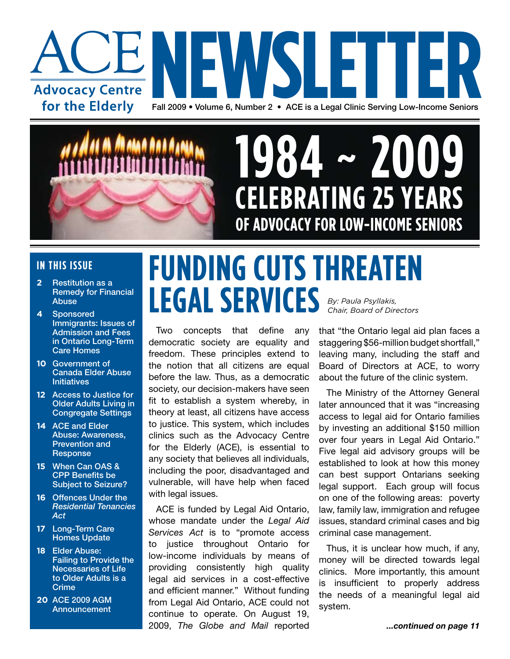



# **CELEBRATING 25 YEARS OF ADVOCACY FOR LOW-INCOME SENIORS 1984 2009**

### **IN THIS ISSUE**

- **2** Restitution as a Remedy for Financial Abuse
- **4** Sponsored Immigrants: Issues of Admission and Fees in Ontario Long-Term Care Homes
- **10** Government of Canada Elder Abuse **Initiatives**
- **12** Access to Justice for Older Adults Living in Congregate Settings
- **14** ACE and Elder Abuse: Awareness, Prevention and **Response**
- **15** When Can OAS & CPP Benefits be Subject to Seizure?
- **16** Offences Under the *Residential Tenancies Act*
- **17** Long-Term Care Homes Update
- **18** Elder Abuse: Failing to Provide the Necessaries of Life to Older Adults is a **Crime**
- **20** ACE 2009 AGM **Announcement**

### **FUNDING CUTS THREATEN LEGAL SERVICES** *By: Paula Psyllakis, Chair, Board of Directors*

Two concepts that define any democratic society are equality and freedom. These principles extend to the notion that all citizens are equal before the law. Thus, as a democratic society, our decision-makers have seen fit to establish a system whereby, in theory at least, all citizens have access to justice. This system, which includes clinics such as the Advocacy Centre for the Elderly (ACE), is essential to any society that believes all individuals, including the poor, disadvantaged and vulnerable, will have help when faced with legal issues.

ACE is funded by Legal Aid Ontario, whose mandate under the *Legal Aid Services Act* is to "promote access to justice throughout Ontario for low-income individuals by means of providing consistently high quality legal aid services in a cost-effective and efficient manner." Without funding from Legal Aid Ontario, ACE could not continue to operate. On August 19, 2009, *The Globe and Mail* reported

that "the Ontario legal aid plan faces a staggering \$56-million budget shortfall," leaving many, including the staff and Board of Directors at ACE, to worry about the future of the clinic system.

The Ministry of the Attorney General later announced that it was "increasing access to legal aid for Ontario families by investing an additional \$150 million over four years in Legal Aid Ontario." Five legal aid advisory groups will be established to look at how this money can best support Ontarians seeking legal support. Each group will focus on one of the following areas: poverty law, family law, immigration and refugee issues, standard criminal cases and big criminal case management.

Thus, it is unclear how much, if any, money will be directed towards legal clinics. More importantly, this amount is insufficient to properly address the needs of a meaningful legal aid system.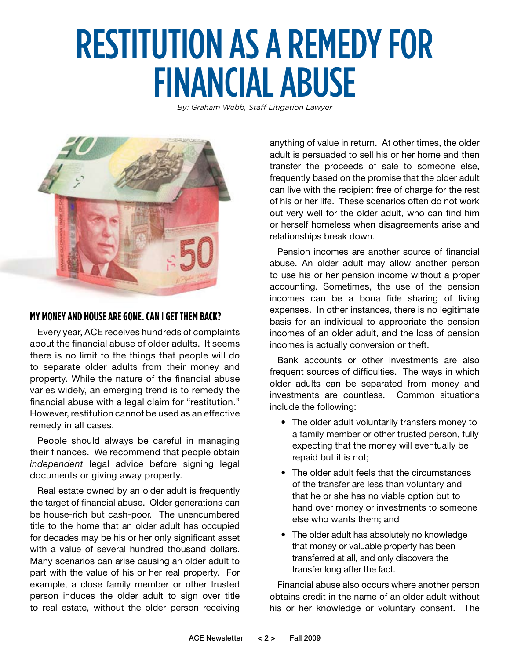# RESTITUTION AS A REMEDY FOR FINANCIAL ABUSE

*By: Graham Webb, Staff Litigation Lawyer* 



### **My moneyand houseare gone. Can I getthem back?**

Every year, ACE receives hundreds of complaints about the financial abuse of older adults. It seems there is no limit to the things that people will do to separate older adults from their money and property. While the nature of the financial abuse varies widely, an emerging trend is to remedy the financial abuse with a legal claim for "restitution." However, restitution cannot be used as an effective remedy in all cases.

People should always be careful in managing their finances. We recommend that people obtain *independent* legal advice before signing legal documents or giving away property.

Real estate owned by an older adult is frequently the target of financial abuse. Older generations can be house-rich but cash-poor. The unencumbered title to the home that an older adult has occupied for decades may be his or her only significant asset with a value of several hundred thousand dollars. Many scenarios can arise causing an older adult to part with the value of his or her real property. For example, a close family member or other trusted person induces the older adult to sign over title to real estate, without the older person receiving

anything of value in return. At other times, the older adult is persuaded to sell his or her home and then transfer the proceeds of sale to someone else, frequently based on the promise that the older adult can live with the recipient free of charge for the rest of his or her life. These scenarios often do not work out very well for the older adult, who can find him or herself homeless when disagreements arise and relationships break down.

Pension incomes are another source of financial abuse. An older adult may allow another person to use his or her pension income without a proper accounting. Sometimes, the use of the pension incomes can be a bona fide sharing of living expenses. In other instances, there is no legitimate basis for an individual to appropriate the pension incomes of an older adult, and the loss of pension incomes is actually conversion or theft.

Bank accounts or other investments are also frequent sources of difficulties. The ways in which older adults can be separated from money and investments are countless. Common situations include the following:

- The older adult voluntarily transfers money to a family member or other trusted person, fully expecting that the money will eventually be repaid but it is not;
- The older adult feels that the circumstances of the transfer are less than voluntary and that he or she has no viable option but to hand over money or investments to someone else who wants them; and
- The older adult has absolutely no knowledge that money or valuable property has been transferred at all, and only discovers the transfer long after the fact.

Financial abuse also occurs where another person obtains credit in the name of an older adult without his or her knowledge or voluntary consent. The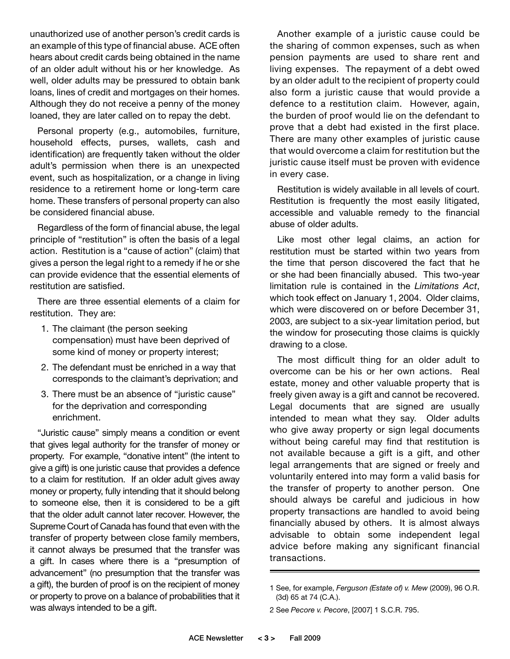unauthorized use of another person's credit cards is an example of this type of financial abuse. ACE often hears about credit cards being obtained in the name of an older adult without his or her knowledge. As well, older adults may be pressured to obtain bank loans, lines of credit and mortgages on their homes. Although they do not receive a penny of the money loaned, they are later called on to repay the debt.

Personal property (e.g., automobiles, furniture, household effects, purses, wallets, cash and identification) are frequently taken without the older adult's permission when there is an unexpected event, such as hospitalization, or a change in living residence to a retirement home or long-term care home. These transfers of personal property can also be considered financial abuse.

Regardless of the form of financial abuse, the legal principle of "restitution" is often the basis of a legal action. Restitution is a "cause of action" (claim) that gives a person the legal right to a remedy if he or she can provide evidence that the essential elements of restitution are satisfied.

There are three essential elements of a claim for restitution. They are:

- 1. The claimant (the person seeking compensation) must have been deprived of some kind of money or property interest;
- 2. The defendant must be enriched in a way that corresponds to the claimant's deprivation; and
- 3. There must be an absence of "juristic cause" for the deprivation and corresponding enrichment.

"Juristic cause" simply means a condition or event that gives legal authority for the transfer of money or property. For example, "donative intent" (the intent to give a gift) is one juristic cause that provides a defence to a claim for restitution. If an older adult gives away money or property, fully intending that it should belong to someone else, then it is considered to be a gift that the older adult cannot later recover. However, the Supreme Court of Canada has found that even with the transfer of property between close family members, it cannot always be presumed that the transfer was a gift. In cases where there is a "presumption of advancement" (no presumption that the transfer was a gift), the burden of proof is on the recipient of money or property to prove on a balance of probabilities that it was always intended to be a gift.

Another example of a juristic cause could be the sharing of common expenses, such as when pension payments are used to share rent and living expenses. The repayment of a debt owed by an older adult to the recipient of property could also form a juristic cause that would provide a defence to a restitution claim. However, again, the burden of proof would lie on the defendant to prove that a debt had existed in the first place. There are many other examples of juristic cause that would overcome a claim for restitution but the juristic cause itself must be proven with evidence in every case.

Restitution is widely available in all levels of court. Restitution is frequently the most easily litigated, accessible and valuable remedy to the financial abuse of older adults.

Like most other legal claims, an action for restitution must be started within two years from the time that person discovered the fact that he or she had been financially abused. This two-year limitation rule is contained in the *Limitations Act*, which took effect on January 1, 2004. Older claims, which were discovered on or before December 31, 2003, are subject to a six-year limitation period, but the window for prosecuting those claims is quickly drawing to a close.

The most difficult thing for an older adult to overcome can be his or her own actions. Real estate, money and other valuable property that is freely given away is a gift and cannot be recovered. Legal documents that are signed are usually intended to mean what they say. Older adults who give away property or sign legal documents without being careful may find that restitution is not available because a gift is a gift, and other legal arrangements that are signed or freely and voluntarily entered into may form a valid basis for the transfer of property to another person. One should always be careful and judicious in how property transactions are handled to avoid being financially abused by others. It is almost always advisable to obtain some independent legal advice before making any significant financial transactions.

<sup>1</sup> See, for example, *Ferguson (Estate of) v. Mew* (2009), 96 O.R. (3d) 65 at 74 (C.A.).

<sup>2</sup> See *Pecore v. Pecore*, [2007] 1 S.C.R. 795.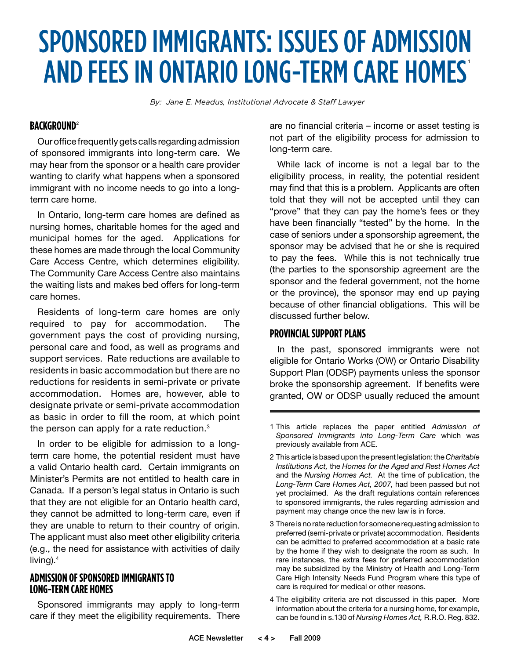### SPONSORED IMMIGRANTS: ISSUES OF ADMISSION AND FEES IN ONTARIO LONG-TERM CARE HOMES'

*By: Jane E. Meadus, Institutional Advocate & Staff Lawyer*

### **BACKGROUND**<sup>2</sup>

Our office frequently gets calls regarding admission of sponsored immigrants into long-term care. We may hear from the sponsor or a health care provider wanting to clarify what happens when a sponsored immigrant with no income needs to go into a longterm care home.

In Ontario, long-term care homes are defined as nursing homes, charitable homes for the aged and municipal homes for the aged. Applications for these homes are made through the local Community Care Access Centre, which determines eligibility. The Community Care Access Centre also maintains the waiting lists and makes bed offers for long-term care homes.

Residents of long-term care homes are only required to pay for accommodation. The government pays the cost of providing nursing, personal care and food, as well as programs and support services. Rate reductions are available to residents in basic accommodation but there are no reductions for residents in semi-private or private accommodation. Homes are, however, able to designate private or semi-private accommodation as basic in order to fill the room, at which point the person can apply for a rate reduction. $3$ 

In order to be eligible for admission to a longterm care home, the potential resident must have a valid Ontario health card. Certain immigrants on Minister's Permits are not entitled to health care in Canada. If a person's legal status in Ontario is such that they are not eligible for an Ontario health card, they cannot be admitted to long-term care, even if they are unable to return to their country of origin. The applicant must also meet other eligibility criteria (e.g., the need for assistance with activities of daily living). $4$ 

### **Admission of Sponsored Immigrantsto Long-Term Care Homes**

Sponsored immigrants may apply to long-term care if they meet the eligibility requirements. There are no financial criteria – income or asset testing is not part of the eligibility process for admission to long-term care.

While lack of income is not a legal bar to the eligibility process, in reality, the potential resident may find that this is a problem. Applicants are often told that they will not be accepted until they can "prove" that they can pay the home's fees or they have been financially "tested" by the home. In the case of seniors under a sponsorship agreement, the sponsor may be advised that he or she is required to pay the fees. While this is not technically true (the parties to the sponsorship agreement are the sponsor and the federal government, not the home or the province), the sponsor may end up paying because of other financial obligations. This will be discussed further below.

### **PROVINCIAL SUPPORT PLANS**

In the past, sponsored immigrants were not eligible for Ontario Works (OW) or Ontario Disability Support Plan (ODSP) payments unless the sponsor broke the sponsorship agreement. If benefits were granted, OW or ODSP usually reduced the amount

4 The eligibility criteria are not discussed in this paper. More information about the criteria for a nursing home, for example, can be found in s.130 of *Nursing Homes Act,* R.R.O. Reg. 832.

<sup>1</sup> This article replaces the paper entitled *Admission of Sponsored Immigrants into Long-Term Care* which was previously available from ACE.

<sup>2</sup> This article is based upon the present legislation: the *Charitable Institutions Act,* the *Homes for the Aged and Rest Homes Act* and the *Nursing Homes Act.* At the time of publication, the *Long-Term Care Homes Act, 2007,* had been passed but not yet proclaimed. As the draft regulations contain references to sponsored immigrants, the rules regarding admission and payment may change once the new law is in force.

<sup>3</sup> There is no rate reduction for someone requesting admission to preferred (semi-private or private) accommodation. Residents can be admitted to preferred accommodation at a basic rate by the home if they wish to designate the room as such. In rare instances, the extra fees for preferred accommodation may be subsidized by the Ministry of Health and Long-Term Care High Intensity Needs Fund Program where this type of care is required for medical or other reasons.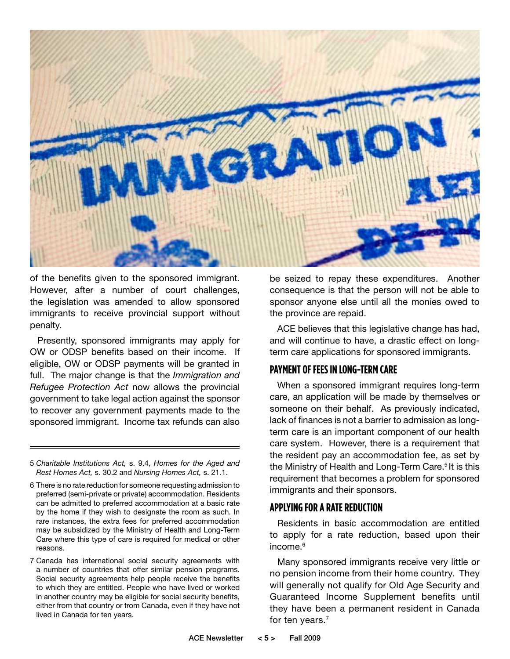

of the benefits given to the sponsored immigrant. However, after a number of court challenges, the legislation was amended to allow sponsored immigrants to receive provincial support without penalty.

Presently, sponsored immigrants may apply for OW or ODSP benefits based on their income. If eligible, OW or ODSP payments will be granted in full. The major change is that the *Immigration and Refugee Protection Act* now allows the provincial government to take legal action against the sponsor to recover any government payments made to the sponsored immigrant. Income tax refunds can also

be seized to repay these expenditures. Another consequence is that the person will not be able to sponsor anyone else until all the monies owed to the province are repaid.

ACE believes that this legislative change has had, and will continue to have, a drastic effect on longterm care applications for sponsored immigrants.

### **Payment of Feesin Long-Term Care**

When a sponsored immigrant requires long-term care, an application will be made by themselves or someone on their behalf. As previously indicated, lack of finances is not a barrier to admission as longterm care is an important component of our health care system. However, there is a requirement that the resident pay an accommodation fee, as set by the Ministry of Health and Long-Term Care.<sup>5</sup> It is this requirement that becomes a problem for sponsored immigrants and their sponsors.

### **Applying fora Rate Reduction**

Residents in basic accommodation are entitled to apply for a rate reduction, based upon their income.<sup>6</sup>

Many sponsored immigrants receive very little or no pension income from their home country. They will generally not qualify for Old Age Security and Guaranteed Income Supplement benefits until they have been a permanent resident in Canada for ten years.<sup>7</sup>

<sup>5</sup> *Charitable Institutions Act,* s. 9.4, *Homes for the Aged and Rest Homes Act,* s. 30.2 and *Nursing Homes Act,* s. 21.1.

<sup>6</sup> There is no rate reduction for someone requesting admission to preferred (semi-private or private) accommodation. Residents can be admitted to preferred accommodation at a basic rate by the home if they wish to designate the room as such. In rare instances, the extra fees for preferred accommodation may be subsidized by the Ministry of Health and Long-Term Care where this type of care is required for medical or other reasons.

<sup>7</sup> Canada has international social security agreements with a number of countries that offer similar pension programs. Social security agreements help people receive the benefits to which they are entitled. People who have lived or worked in another country may be eligible for social security benefits, either from that country or from Canada, even if they have not lived in Canada for ten years.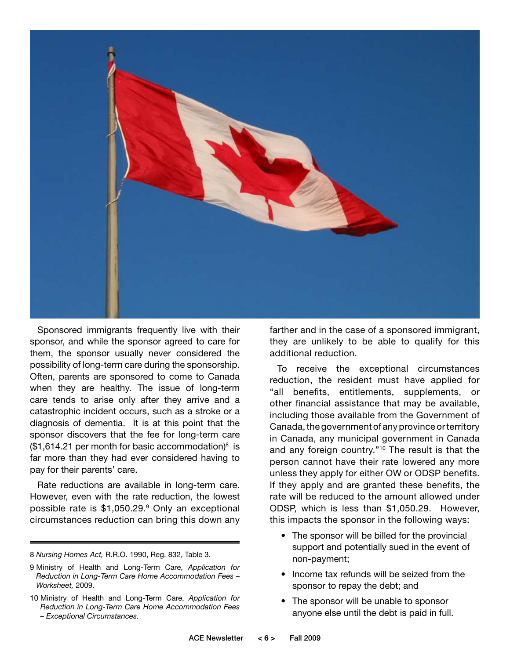

Sponsored immigrants frequently live with their sponsor, and while the sponsor agreed to care for them, the sponsor usually never considered the possibility of long-term care during the sponsorship. Often, parents are sponsored to come to Canada when they are healthy. The issue of long-term care tends to arise only after they arrive and a catastrophic incident occurs, such as a stroke or a diagnosis of dementia. It is at this point that the sponsor discovers that the fee for long-term care  $($1,614.21$  per month for basic accommodation)<sup>8</sup> is far more than they had ever considered having to pay for their parents' care.

Rate reductions are available in long-term care. However, even with the rate reduction, the lowest possible rate is \$1,050.29.9 Only an exceptional circumstances reduction can bring this down any

farther and in the case of a sponsored immigrant, they are unlikely to be able to qualify for this additional reduction.

To receive the exceptional circumstances reduction, the resident must have applied for "all benefits, entitlements, supplements, or other financial assistance that may be available, including those available from the Government of Canada, the government of any province or territory in Canada, any municipal government in Canada and any foreign country."<sup>10</sup> The result is that the person cannot have their rate lowered any more unless they apply for either OW or ODSP benefits. If they apply and are granted these benefits, the rate will be reduced to the amount allowed under ODSP, which is less than \$1,050.29. However, this impacts the sponsor in the following ways:

- The sponsor will be billed for the provincial support and potentially sued in the event of non-payment;
- Income tax refunds will be seized from the sponsor to repay the debt; and
- The sponsor will be unable to sponsor anyone else until the debt is paid in full.

<sup>8</sup> *Nursing Homes Act,* R.R.O. 1990, Reg. 832, Table 3.

<sup>9</sup> Ministry of Health and Long-Term Care, *Application for Reduction in Long-Term Care Home Accommodation Fees – Worksheet,* 2009.

<sup>10</sup> Ministry of Health and Long-Term Care, *Application for Reduction in Long-Term Care Home Accommodation Fees – Exceptional Circumstances.*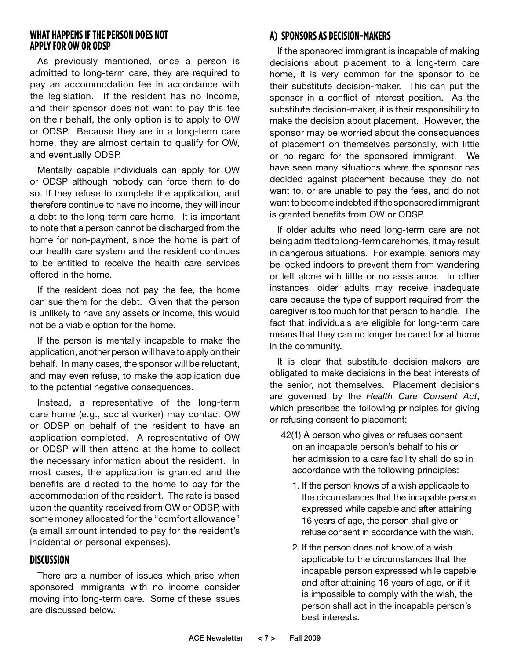### **WHAT HAPPENS IF THE PERSON DOES NOT Applyfor OW or ODSP**

As previously mentioned, once a person is admitted to long-term care, they are required to pay an accommodation fee in accordance with the legislation. If the resident has no income, and their sponsor does not want to pay this fee on their behalf, the only option is to apply to OW or ODSP. Because they are in a long-term care home, they are almost certain to qualify for OW, and eventually ODSP.

Mentally capable individuals can apply for OW or ODSP although nobody can force them to do so. If they refuse to complete the application, and therefore continue to have no income, they will incur a debt to the long-term care home. It is important to note that a person cannot be discharged from the home for non-payment, since the home is part of our health care system and the resident continues to be entitled to receive the health care services offered in the home.

If the resident does not pay the fee, the home can sue them for the debt. Given that the person is unlikely to have any assets or income, this would not be a viable option for the home.

If the person is mentally incapable to make the application, another person will have to apply on their behalf. In many cases, the sponsor will be reluctant, and may even refuse, to make the application due to the potential negative consequences.

Instead, a representative of the long-term care home (e.g., social worker) may contact OW or ODSP on behalf of the resident to have an application completed. A representative of OW or ODSP will then attend at the home to collect the necessary information about the resident. In most cases, the application is granted and the benefits are directed to the home to pay for the accommodation of the resident. The rate is based upon the quantity received from OW or ODSP, with some money allocated for the "comfort allowance" (a small amount intended to pay for the resident's incidental or personal expenses).

### **Discussion**

There are a number of issues which arise when sponsored immigrants with no income consider moving into long-term care. Some of these issues are discussed below.

### **a) Sponsorsas Decision-Makers**

If the sponsored immigrant is incapable of making decisions about placement to a long-term care home, it is very common for the sponsor to be their substitute decision-maker. This can put the sponsor in a conflict of interest position. As the substitute decision-maker, it is their responsibility to make the decision about placement. However, the sponsor may be worried about the consequences of placement on themselves personally, with little or no regard for the sponsored immigrant. We have seen many situations where the sponsor has decided against placement because they do not want to, or are unable to pay the fees, and do not want to become indebted if the sponsored immigrant is granted benefits from OW or ODSP.

If older adults who need long-term care are not being admitted to long-term care homes, it may result in dangerous situations. For example, seniors may be locked indoors to prevent them from wandering or left alone with little or no assistance. In other instances, older adults may receive inadequate care because the type of support required from the caregiver is too much for that person to handle. The fact that individuals are eligible for long-term care means that they can no longer be cared for at home in the community.

It is clear that substitute decision-makers are obligated to make decisions in the best interests of the senior, not themselves. Placement decisions are governed by the *Health Care Consent Act*, which prescribes the following principles for giving or refusing consent to placement:

- 42(1) A person who gives or refuses consent on an incapable person's behalf to his or her admission to a care facility shall do so in accordance with the following principles:
	- 1. If the person knows of a wish applicable to the circumstances that the incapable person expressed while capable and after attaining 16 years of age, the person shall give or refuse consent in accordance with the wish.
	- 2. If the person does not know of a wish applicable to the circumstances that the incapable person expressed while capable and after attaining 16 years of age, or if it is impossible to comply with the wish, the person shall act in the incapable person's best interests.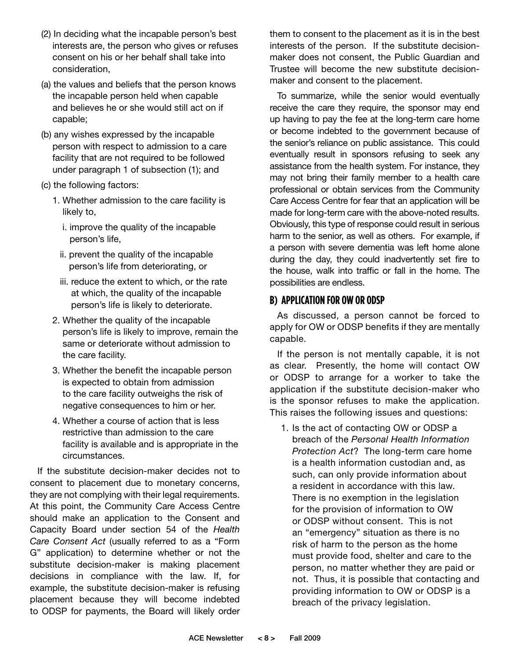- (2) In deciding what the incapable person's best interests are, the person who gives or refuses consent on his or her behalf shall take into consideration,
- (a) the values and beliefs that the person knows the incapable person held when capable and believes he or she would still act on if capable;
- (b) any wishes expressed by the incapable person with respect to admission to a care facility that are not required to be followed under paragraph 1 of subsection (1); and
- (c) the following factors:
	- 1. Whether admission to the care facility is likely to,
		- i. improve the quality of the incapable person's life,
		- ii. prevent the quality of the incapable person's life from deteriorating, or
		- iii. reduce the extent to which, or the rate at which, the quality of the incapable person's life is likely to deteriorate.
	- 2. Whether the quality of the incapable person's life is likely to improve, remain the same or deteriorate without admission to the care facility.
	- 3. Whether the benefit the incapable person is expected to obtain from admission to the care facility outweighs the risk of negative consequences to him or her.
	- 4. Whether a course of action that is less restrictive than admission to the care facility is available and is appropriate in the circumstances.

If the substitute decision-maker decides not to consent to placement due to monetary concerns, they are not complying with their legal requirements. At this point, the Community Care Access Centre should make an application to the Consent and Capacity Board under section 54 of the *Health Care Consent Act* (usually referred to as a "Form G" application) to determine whether or not the substitute decision-maker is making placement decisions in compliance with the law. If, for example, the substitute decision-maker is refusing placement because they will become indebted to ODSP for payments, the Board will likely order

them to consent to the placement as it is in the best interests of the person. If the substitute decisionmaker does not consent, the Public Guardian and Trustee will become the new substitute decisionmaker and consent to the placement.

To summarize, while the senior would eventually receive the care they require, the sponsor may end up having to pay the fee at the long-term care home or become indebted to the government because of the senior's reliance on public assistance. This could eventually result in sponsors refusing to seek any assistance from the health system. For instance, they may not bring their family member to a health care professional or obtain services from the Community Care Access Centre for fear that an application will be made for long-term care with the above-noted results. Obviously, this type of response could result in serious harm to the senior, as well as others. For example, if a person with severe dementia was left home alone during the day, they could inadvertently set fire to the house, walk into traffic or fall in the home. The possibilities are endless.

### **b) Application for OW or ODSP**

As discussed, a person cannot be forced to apply for OW or ODSP benefits if they are mentally capable.

If the person is not mentally capable, it is not as clear. Presently, the home will contact OW or ODSP to arrange for a worker to take the application if the substitute decision-maker who is the sponsor refuses to make the application. This raises the following issues and questions:

1. Is the act of contacting OW or ODSP a breach of the *Personal Health Information Protection Act*? The long-term care home is a health information custodian and, as such, can only provide information about a resident in accordance with this law. There is no exemption in the legislation for the provision of information to OW or ODSP without consent. This is not an "emergency" situation as there is no risk of harm to the person as the home must provide food, shelter and care to the person, no matter whether they are paid or not. Thus, it is possible that contacting and providing information to OW or ODSP is a breach of the privacy legislation.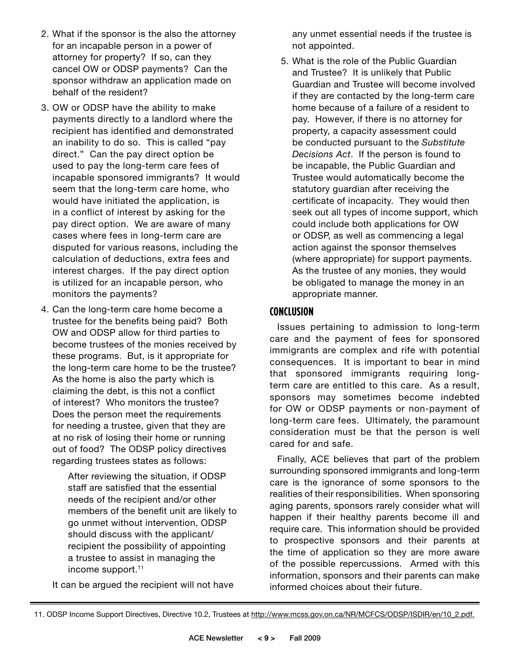- 2. What if the sponsor is the also the attorney for an incapable person in a power of attorney for property? If so, can they cancel OW or ODSP payments? Can the sponsor withdraw an application made on behalf of the resident?
- 3. OW or ODSP have the ability to make payments directly to a landlord where the recipient has identified and demonstrated an inability to do so. This is called "pay direct." Can the pay direct option be used to pay the long-term care fees of incapable sponsored immigrants? It would seem that the long-term care home, who would have initiated the application, is in a conflict of interest by asking for the pay direct option. We are aware of many cases where fees in long-term care are disputed for various reasons, including the calculation of deductions, extra fees and interest charges. If the pay direct option is utilized for an incapable person, who monitors the payments?
- 4. Can the long-term care home become a trustee for the benefits being paid? Both OW and ODSP allow for third parties to become trustees of the monies received by these programs. But, is it appropriate for the long-term care home to be the trustee? As the home is also the party which is claiming the debt, is this not a conflict of interest? Who monitors the trustee? Does the person meet the requirements for needing a trustee, given that they are at no risk of losing their home or running out of food? The ODSP policy directives regarding trustees states as follows:

 After reviewing the situation, if ODSP staff are satisfied that the essential needs of the recipient and/or other members of the benefit unit are likely to go unmet without intervention, ODSP should discuss with the applicant/ recipient the possibility of appointing a trustee to assist in managing the income support.<sup>11</sup>

It can be argued the recipient will not have

any unmet essential needs if the trustee is not appointed.

5. What is the role of the Public Guardian and Trustee? It is unlikely that Public Guardian and Trustee will become involved if they are contacted by the long-term care home because of a failure of a resident to pay. However, if there is no attorney for property, a capacity assessment could be conducted pursuant to the *Substitute Decisions Act*. If the person is found to be incapable, the Public Guardian and Trustee would automatically become the statutory guardian after receiving the certificate of incapacity. They would then seek out all types of income support, which could include both applications for OW or ODSP, as well as commencing a legal action against the sponsor themselves (where appropriate) for support payments. As the trustee of any monies, they would be obligated to manage the money in an appropriate manner.

### **CONCLUSION**

Issues pertaining to admission to long-term care and the payment of fees for sponsored immigrants are complex and rife with potential consequences. It is important to bear in mind that sponsored immigrants requiring longterm care are entitled to this care. As a result, sponsors may sometimes become indebted for OW or ODSP payments or non-payment of long-term care fees. Ultimately, the paramount consideration must be that the person is well cared for and safe.

Finally, ACE believes that part of the problem surrounding sponsored immigrants and long-term care is the ignorance of some sponsors to the realities of their responsibilities. When sponsoring aging parents, sponsors rarely consider what will happen if their healthy parents become ill and require care. This information should be provided to prospective sponsors and their parents at the time of application so they are more aware of the possible repercussions. Armed with this information, sponsors and their parents can make informed choices about their future.

<sup>11.</sup> ODSP Income Support Directives, Directive 10.2, Trustees at http://www.mcss.gov.on.ca/NR/MCFCS/ODSP/ISDIR/en/10\_2.pdf.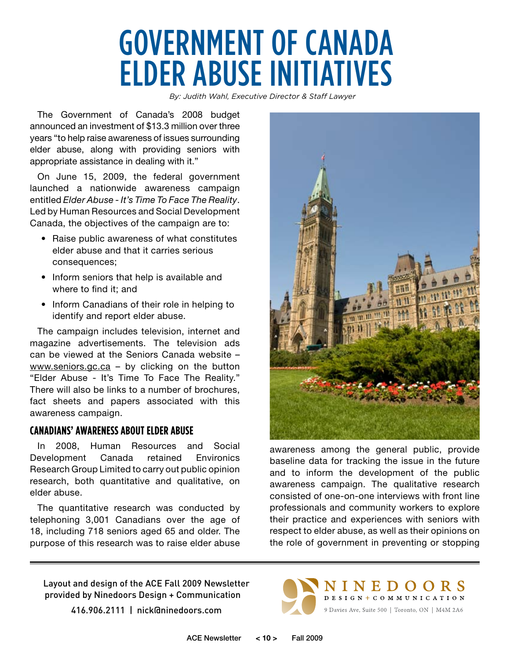### GOVERNMENT OF CANADA ELDER ABUSE INITIATIVES

*By: Judith Wahl, Executive Director & Staff Lawyer* 

The Government of Canada's 2008 budget announced an investment of \$13.3 million over three years "to help raise awareness of issues surrounding elder abuse, along with providing seniors with appropriate assistance in dealing with it."

On June 15, 2009, the federal government launched a nationwide awareness campaign entitled *Elder Abuse - It's Time To Face The Reality*. Led by Human Resources and Social Development Canada, the objectives of the campaign are to:

- Raise public awareness of what constitutes elder abuse and that it carries serious consequences;
- Inform seniors that help is available and where to find it; and
- Inform Canadians of their role in helping to identify and report elder abuse.

The campaign includes television, internet and magazine advertisements. The television ads can be viewed at the Seniors Canada website – www.seniors.gc.ca – by clicking on the button "Elder Abuse - It's Time To Face The Reality." There will also be links to a number of brochures, fact sheets and papers associated with this awareness campaign.

### **Canadians' Awarenessabout Elder Abuse**

In 2008, Human Resources and Social Development Canada retained Environics Research Group Limited to carry out public opinion research, both quantitative and qualitative, on elder abuse.

The quantitative research was conducted by telephoning 3,001 Canadians over the age of 18, including 718 seniors aged 65 and older. The purpose of this research was to raise elder abuse



awareness among the general public, provide baseline data for tracking the issue in the future and to inform the development of the public awareness campaign. The qualitative research consisted of one-on-one interviews with front line professionals and community workers to explore their practice and experiences with seniors with respect to elder abuse, as well as their opinions on the role of government in preventing or stopping

Layout and design of the ACE Fall 2009 Newsletter provided by Ninedoors Design + Communication 416.906.2111 | nick@ninedoors.com

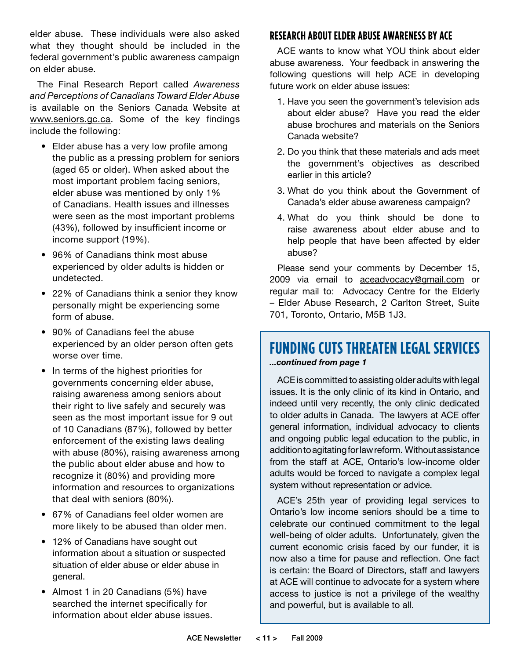elder abuse. These individuals were also asked what they thought should be included in the federal government's public awareness campaign on elder abuse.

The Final Research Report called *Awareness and Perceptions of Canadians Toward Elder Abuse* is available on the Seniors Canada Website at www.seniors.gc.ca. Some of the key findings include the following:

- Elder abuse has a very low profile among the public as a pressing problem for seniors (aged 65 or older). When asked about the most important problem facing seniors, elder abuse was mentioned by only 1% of Canadians. Health issues and illnesses were seen as the most important problems (43%), followed by insufficient income or income support (19%).
- 96% of Canadians think most abuse experienced by older adults is hidden or undetected.
- 22% of Canadians think a senior they know personally might be experiencing some form of abuse.
- 90% of Canadians feel the abuse experienced by an older person often gets worse over time.
- In terms of the highest priorities for governments concerning elder abuse, raising awareness among seniors about their right to live safely and securely was seen as the most important issue for 9 out of 10 Canadians (87%), followed by better enforcement of the existing laws dealing with abuse (80%), raising awareness among the public about elder abuse and how to recognize it (80%) and providing more information and resources to organizations that deal with seniors (80%).
- 67% of Canadians feel older women are more likely to be abused than older men.
- 12% of Canadians have sought out information about a situation or suspected situation of elder abuse or elder abuse in general.
- Almost 1 in 20 Canadians (5%) have searched the internet specifically for information about elder abuse issues.

### **Research about Elder Abuse Awareness by ACE**

ACE wants to know what YOU think about elder abuse awareness. Your feedback in answering the following questions will help ACE in developing future work on elder abuse issues:

- 1. Have you seen the government's television ads about elder abuse? Have you read the elder abuse brochures and materials on the Seniors Canada website?
- 2. Do you think that these materials and ads meet the government's objectives as described earlier in this article?
- 3. What do you think about the Government of Canada's elder abuse awareness campaign?
- 4. What do you think should be done to raise awareness about elder abuse and to help people that have been affected by elder abuse?

Please send your comments by December 15, 2009 via email to aceadvocacy@gmail.com or regular mail to: Advocacy Centre for the Elderly – Elder Abuse Research, 2 Carlton Street, Suite 701, Toronto, Ontario, M5B 1J3.

### **FUNDING CUTS THREATEN LEGAL SERVICES** *...continued from page 1*

ACE is committed to assisting older adults with legal issues. It is the only clinic of its kind in Ontario, and indeed until very recently, the only clinic dedicated to older adults in Canada. The lawyers at ACE offer general information, individual advocacy to clients and ongoing public legal education to the public, in addition to agitating for law reform. Without assistance from the staff at ACE, Ontario's low-income older adults would be forced to navigate a complex legal system without representation or advice.

ACE's 25th year of providing legal services to Ontario's low income seniors should be a time to celebrate our continued commitment to the legal well-being of older adults. Unfortunately, given the current economic crisis faced by our funder, it is now also a time for pause and reflection. One fact is certain: the Board of Directors, staff and lawyers at ACE will continue to advocate for a system where access to justice is not a privilege of the wealthy and powerful, but is available to all.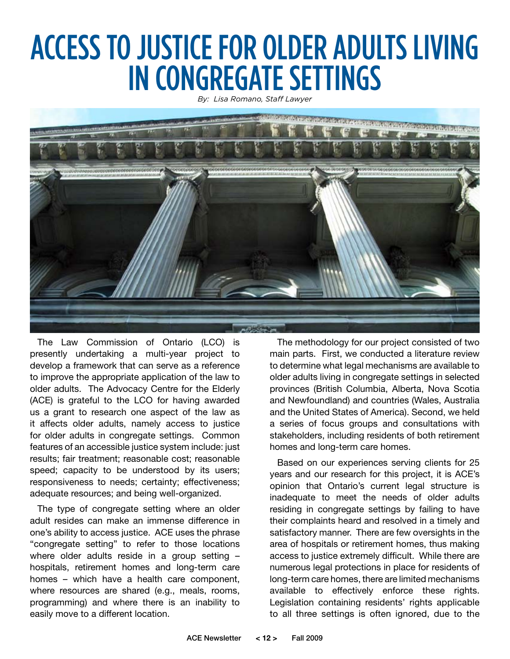### ACCESS TO JUSTICE FOR OLDER ADULTS LIVING IN CONGREGATE SETTINGS

*By: Lisa Romano, Staff Lawyer*



The Law Commission of Ontario (LCO) is presently undertaking a multi-year project to develop a framework that can serve as a reference to improve the appropriate application of the law to older adults. The Advocacy Centre for the Elderly (ACE) is grateful to the LCO for having awarded us a grant to research one aspect of the law as it affects older adults, namely access to justice for older adults in congregate settings. Common features of an accessible justice system include: just results; fair treatment; reasonable cost; reasonable speed; capacity to be understood by its users; responsiveness to needs; certainty; effectiveness; adequate resources; and being well-organized.

The type of congregate setting where an older adult resides can make an immense difference in one's ability to access justice. ACE uses the phrase "congregate setting" to refer to those locations where older adults reside in a group setting – hospitals, retirement homes and long-term care homes – which have a health care component, where resources are shared (e.g., meals, rooms, programming) and where there is an inability to easily move to a different location.

The methodology for our project consisted of two main parts. First, we conducted a literature review to determine what legal mechanisms are available to older adults living in congregate settings in selected provinces (British Columbia, Alberta, Nova Scotia and Newfoundland) and countries (Wales, Australia and the United States of America). Second, we held a series of focus groups and consultations with stakeholders, including residents of both retirement homes and long-term care homes.

Based on our experiences serving clients for 25 years and our research for this project, it is ACE's opinion that Ontario's current legal structure is inadequate to meet the needs of older adults residing in congregate settings by failing to have their complaints heard and resolved in a timely and satisfactory manner. There are few oversights in the area of hospitals or retirement homes, thus making access to justice extremely difficult. While there are numerous legal protections in place for residents of long-term care homes, there are limited mechanisms available to effectively enforce these rights. Legislation containing residents' rights applicable to all three settings is often ignored, due to the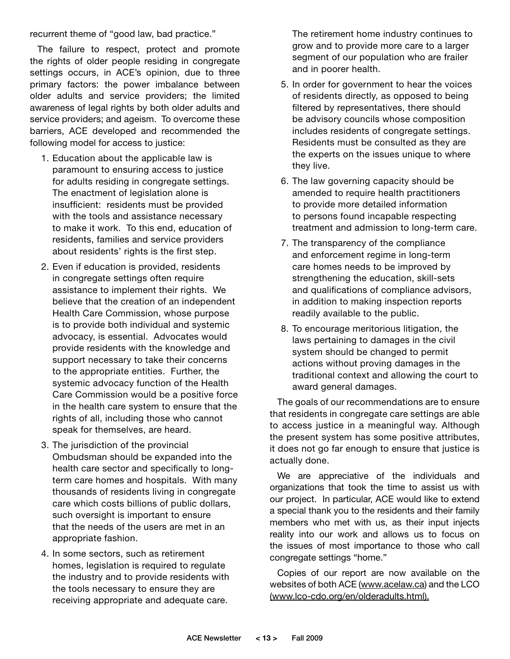recurrent theme of "good law, bad practice."

The failure to respect, protect and promote the rights of older people residing in congregate settings occurs, in ACE's opinion, due to three primary factors: the power imbalance between older adults and service providers; the limited awareness of legal rights by both older adults and service providers; and ageism. To overcome these barriers, ACE developed and recommended the following model for access to justice:

- 1. Education about the applicable law is paramount to ensuring access to justice for adults residing in congregate settings. The enactment of legislation alone is insufficient: residents must be provided with the tools and assistance necessary to make it work. To this end, education of residents, families and service providers about residents' rights is the first step.
- 2. Even if education is provided, residents in congregate settings often require assistance to implement their rights. We believe that the creation of an independent Health Care Commission, whose purpose is to provide both individual and systemic advocacy, is essential. Advocates would provide residents with the knowledge and support necessary to take their concerns to the appropriate entities. Further, the systemic advocacy function of the Health Care Commission would be a positive force in the health care system to ensure that the rights of all, including those who cannot speak for themselves, are heard.
- 3. The jurisdiction of the provincial Ombudsman should be expanded into the health care sector and specifically to longterm care homes and hospitals. With many thousands of residents living in congregate care which costs billions of public dollars, such oversight is important to ensure that the needs of the users are met in an appropriate fashion.
- 4. In some sectors, such as retirement homes, legislation is required to regulate the industry and to provide residents with the tools necessary to ensure they are receiving appropriate and adequate care.

The retirement home industry continues to grow and to provide more care to a larger segment of our population who are frailer and in poorer health.

- 5. In order for government to hear the voices of residents directly, as opposed to being filtered by representatives, there should be advisory councils whose composition includes residents of congregate settings. Residents must be consulted as they are the experts on the issues unique to where they live.
- 6. The law governing capacity should be amended to require health practitioners to provide more detailed information to persons found incapable respecting treatment and admission to long-term care.
- 7. The transparency of the compliance and enforcement regime in long-term care homes needs to be improved by strengthening the education, skill-sets and qualifications of compliance advisors, in addition to making inspection reports readily available to the public.
- 8. To encourage meritorious litigation, the laws pertaining to damages in the civil system should be changed to permit actions without proving damages in the traditional context and allowing the court to award general damages.

The goals of our recommendations are to ensure that residents in congregate care settings are able to access justice in a meaningful way. Although the present system has some positive attributes, it does not go far enough to ensure that justice is actually done.

We are appreciative of the individuals and organizations that took the time to assist us with our project. In particular, ACE would like to extend a special thank you to the residents and their family members who met with us, as their input injects reality into our work and allows us to focus on the issues of most importance to those who call congregate settings "home."

Copies of our report are now available on the websites of both ACE (www.acelaw.ca) and the LCO (www.lco-cdo.org/en/olderadults.html).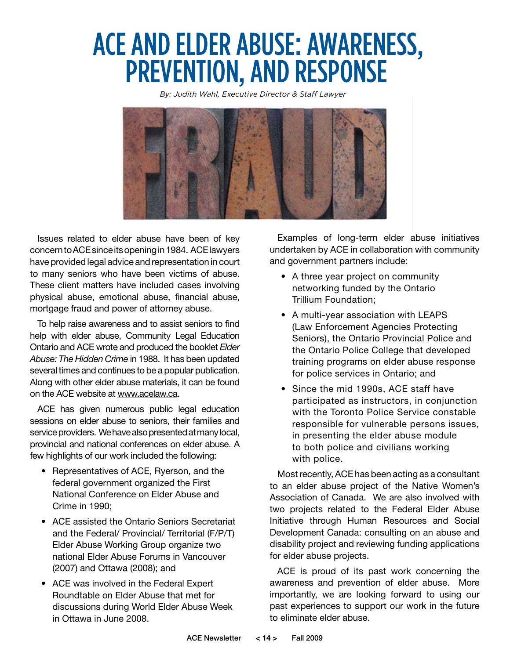### ACE AND ELDER ABUSE: AWARENESS, PREVENTION, AND RESPONSE

*By: Judith Wahl, Executive Director & Staff Lawyer*



Issues related to elder abuse have been of key concern to ACE since its opening in 1984. ACE lawyers have provided legal advice and representation in court to many seniors who have been victims of abuse. These client matters have included cases involving physical abuse, emotional abuse, financial abuse, mortgage fraud and power of attorney abuse.

To help raise awareness and to assist seniors to find help with elder abuse, Community Legal Education Ontario and ACE wrote and produced the booklet *Elder Abuse: The Hidden Crime* in 1988. It has been updated several times and continues to be a popular publication. Along with other elder abuse materials, it can be found on the ACE website at www.acelaw.ca.

ACE has given numerous public legal education sessions on elder abuse to seniors, their families and service providers. We have also presented at many local, provincial and national conferences on elder abuse. A few highlights of our work included the following:

- Representatives of ACE, Ryerson, and the federal government organized the First National Conference on Elder Abuse and Crime in 1990;
- ACE assisted the Ontario Seniors Secretariat and the Federal/ Provincial/ Territorial (F/P/T) Elder Abuse Working Group organize two national Elder Abuse Forums in Vancouver (2007) and Ottawa (2008); and
- ACE was involved in the Federal Expert Roundtable on Elder Abuse that met for discussions during World Elder Abuse Week in Ottawa in June 2008.

Examples of long-term elder abuse initiatives undertaken by ACE in collaboration with community and government partners include:

- A three year project on community networking funded by the Ontario Trillium Foundation;
- • A multi-year association with LEAPS (Law Enforcement Agencies Protecting Seniors), the Ontario Provincial Police and the Ontario Police College that developed training programs on elder abuse response for police services in Ontario; and
- Since the mid 1990s, ACE staff have participated as instructors, in conjunction with the Toronto Police Service constable responsible for vulnerable persons issues, in presenting the elder abuse module to both police and civilians working with police.

Most recently, ACE has been acting as a consultant to an elder abuse project of the Native Women's Association of Canada. We are also involved with two projects related to the Federal Elder Abuse Initiative through Human Resources and Social Development Canada: consulting on an abuse and disability project and reviewing funding applications for elder abuse projects.

ACE is proud of its past work concerning the awareness and prevention of elder abuse. More importantly, we are looking forward to using our past experiences to support our work in the future to eliminate elder abuse.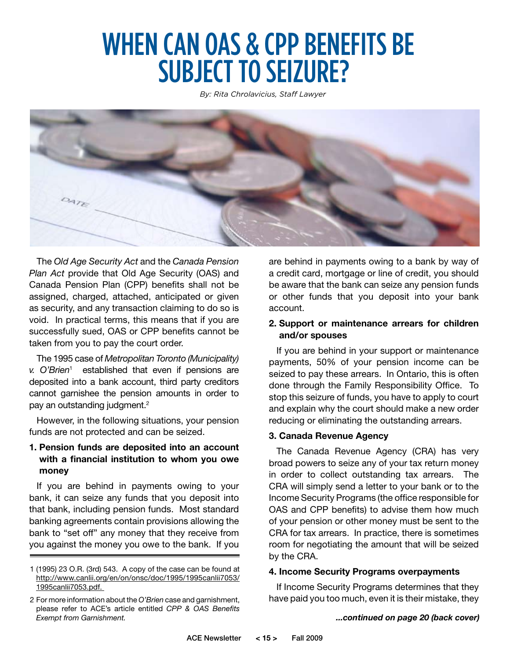### WHEN CAN OAS & CPP BENEFITS BE SUBJECT TO SEIZURE?

*By: Rita Chrolavicius, Staff Lawyer*



The *Old Age Security Act* and the *Canada Pension Plan Act* provide that Old Age Security (OAS) and Canada Pension Plan (CPP) benefits shall not be assigned, charged, attached, anticipated or given as security, and any transaction claiming to do so is void. In practical terms, this means that if you are successfully sued, OAS or CPP benefits cannot be taken from you to pay the court order.

The 1995 case of *Metropolitan Toronto (Municipality) v. O'Brien*<sup>1</sup> established that even if pensions are deposited into a bank account, third party creditors cannot garnishee the pension amounts in order to pay an outstanding judgment.<sup>2</sup>

However, in the following situations, your pension funds are not protected and can be seized.

### **1. Pension funds are deposited into an account with a financial institution to whom you owe money**

If you are behind in payments owing to your bank, it can seize any funds that you deposit into that bank, including pension funds. Most standard banking agreements contain provisions allowing the bank to "set off" any money that they receive from you against the money you owe to the bank. If you are behind in payments owing to a bank by way of a credit card, mortgage or line of credit, you should be aware that the bank can seize any pension funds or other funds that you deposit into your bank account.

#### **2. Support or maintenance arrears for children and/or spouses**

If you are behind in your support or maintenance payments, 50% of your pension income can be seized to pay these arrears. In Ontario, this is often done through the Family Responsibility Office. To stop this seizure of funds, you have to apply to court and explain why the court should make a new order reducing or eliminating the outstanding arrears.

### **3. Canada Revenue Agency**

The Canada Revenue Agency (CRA) has very broad powers to seize any of your tax return money in order to collect outstanding tax arrears. The CRA will simply send a letter to your bank or to the Income Security Programs (the office responsible for OAS and CPP benefits) to advise them how much of your pension or other money must be sent to the CRA for tax arrears. In practice, there is sometimes room for negotiating the amount that will be seized by the CRA.

#### **4. Income Security Programs overpayments**

If Income Security Programs determines that they have paid you too much, even it is their mistake, they

<sup>1 (1995) 23</sup> O.R. (3rd) 543. A copy of the case can be found at http://www.canlii.org/en/on/onsc/doc/1995/1995canlii7053/ 1995canlii7053.pdf.

<sup>2</sup> For more information about the *O'Brien* case and garnishment, please refer to ACE's article entitled *CPP & OAS Benefits Exempt from Garnishment. ...continued on page 20 (back cover)*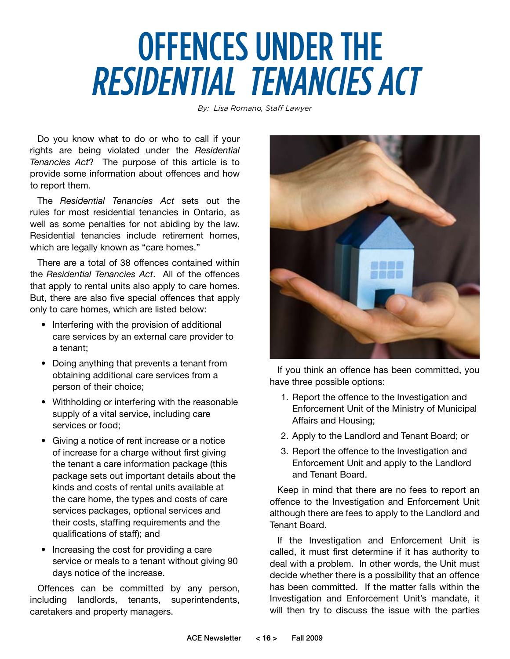# OFFENCES UNDER THE RESIDENTIAL TENANCIES ACT

*By: Lisa Romano, Staff Lawyer*

Do you know what to do or who to call if your rights are being violated under the *Residential Tenancies Act*? The purpose of this article is to provide some information about offences and how to report them.

The *Residential Tenancies Act* sets out the rules for most residential tenancies in Ontario, as well as some penalties for not abiding by the law. Residential tenancies include retirement homes, which are legally known as "care homes."

There are a total of 38 offences contained within the *Residential Tenancies Act*. All of the offences that apply to rental units also apply to care homes. But, there are also five special offences that apply only to care homes, which are listed below:

- Interfering with the provision of additional care services by an external care provider to a tenant;
- Doing anything that prevents a tenant from obtaining additional care services from a person of their choice;
- • Withholding or interfering with the reasonable supply of a vital service, including care services or food;
- Giving a notice of rent increase or a notice of increase for a charge without first giving the tenant a care information package (this package sets out important details about the kinds and costs of rental units available at the care home, the types and costs of care services packages, optional services and their costs, staffing requirements and the qualifications of staff); and
- Increasing the cost for providing a care service or meals to a tenant without giving 90 days notice of the increase.

Offences can be committed by any person, including landlords, tenants, superintendents, caretakers and property managers.



If you think an offence has been committed, you have three possible options:

- 1. Report the offence to the Investigation and Enforcement Unit of the Ministry of Municipal Affairs and Housing;
- 2. Apply to the Landlord and Tenant Board; or
- 3. Report the offence to the Investigation and Enforcement Unit and apply to the Landlord and Tenant Board.

Keep in mind that there are no fees to report an offence to the Investigation and Enforcement Unit although there are fees to apply to the Landlord and Tenant Board.

If the Investigation and Enforcement Unit is called, it must first determine if it has authority to deal with a problem. In other words, the Unit must decide whether there is a possibility that an offence has been committed. If the matter falls within the Investigation and Enforcement Unit's mandate, it will then try to discuss the issue with the parties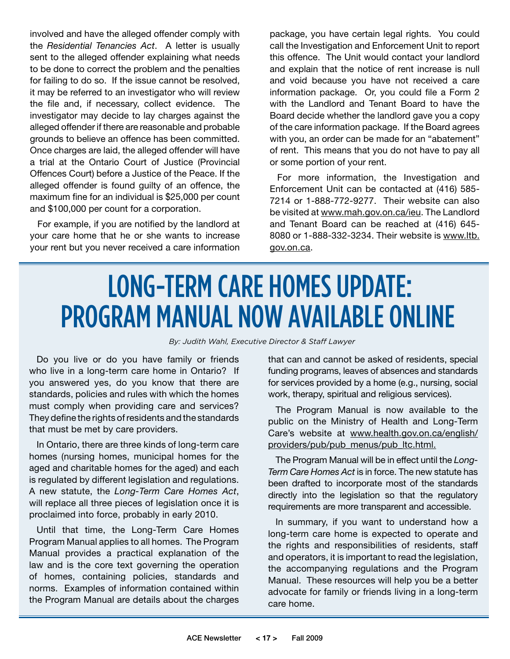involved and have the alleged offender comply with the *Residential Tenancies Act*. A letter is usually sent to the alleged offender explaining what needs to be done to correct the problem and the penalties for failing to do so. If the issue cannot be resolved, it may be referred to an investigator who will review the file and, if necessary, collect evidence. The investigator may decide to lay charges against the alleged offender if there are reasonable and probable grounds to believe an offence has been committed. Once charges are laid, the alleged offender will have a trial at the Ontario Court of Justice (Provincial Offences Court) before a Justice of the Peace. If the alleged offender is found guilty of an offence, the maximum fine for an individual is \$25,000 per count and \$100,000 per count for a corporation.

For example, if you are notified by the landlord at your care home that he or she wants to increase your rent but you never received a care information

package, you have certain legal rights. You could call the Investigation and Enforcement Unit to report this offence. The Unit would contact your landlord and explain that the notice of rent increase is null and void because you have not received a care information package. Or, you could file a Form 2 with the Landlord and Tenant Board to have the Board decide whether the landlord gave you a copy of the care information package. If the Board agrees with you, an order can be made for an "abatement" of rent. This means that you do not have to pay all or some portion of your rent.

For more information, the Investigation and Enforcement Unit can be contacted at (416) 585- 7214 or 1-888-772-9277. Their website can also be visited at www.mah.gov.on.ca/ieu. The Landlord and Tenant Board can be reached at (416) 645- 8080 or 1-888-332-3234. Their website is www.ltb. gov.on.ca.

### LONG-TERM CARE HOMES UPDATE: PROGRAM MANUAL NOW AVAILABLE ONLINE

*By: Judith Wahl, Executive Director & Staff Lawyer*

Do you live or do you have family or friends who live in a long-term care home in Ontario? If you answered yes, do you know that there are standards, policies and rules with which the homes must comply when providing care and services? They define the rights of residents and the standards that must be met by care providers.

In Ontario, there are three kinds of long-term care homes (nursing homes, municipal homes for the aged and charitable homes for the aged) and each is regulated by different legislation and regulations. A new statute, the *Long-Term Care Homes Act*, will replace all three pieces of legislation once it is proclaimed into force, probably in early 2010.

Until that time, the Long-Term Care Homes Program Manual applies to all homes. The Program Manual provides a practical explanation of the law and is the core text governing the operation of homes, containing policies, standards and norms. Examples of information contained within the Program Manual are details about the charges

that can and cannot be asked of residents, special funding programs, leaves of absences and standards for services provided by a home (e.g., nursing, social work, therapy, spiritual and religious services).

The Program Manual is now available to the public on the Ministry of Health and Long-Term Care's website at www.health.gov.on.ca/english/ providers/pub/pub\_menus/pub\_ltc.html.

The Program Manual will be in effect until the *Long-Term Care Homes Act* is in force. The new statute has been drafted to incorporate most of the standards directly into the legislation so that the regulatory requirements are more transparent and accessible.

In summary, if you want to understand how a long-term care home is expected to operate and the rights and responsibilities of residents, staff and operators, it is important to read the legislation, the accompanying regulations and the Program Manual. These resources will help you be a better advocate for family or friends living in a long-term care home.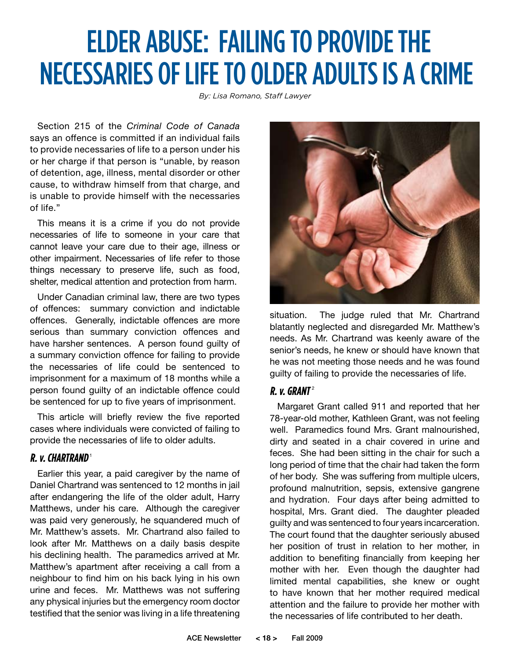### ELDER ABUSE: FAILING TO PROVIDE THE NECESSARIES OF LIFE TO OLDER ADULTS IS A CRIME

*By: Lisa Romano, Staff Lawyer*

Section 215 of the *Criminal Code of Canada* says an offence is committed if an individual fails to provide necessaries of life to a person under his or her charge if that person is "unable, by reason of detention, age, illness, mental disorder or other cause, to withdraw himself from that charge, and is unable to provide himself with the necessaries of life."

This means it is a crime if you do not provide necessaries of life to someone in your care that cannot leave your care due to their age, illness or other impairment. Necessaries of life refer to those things necessary to preserve life, such as food, shelter, medical attention and protection from harm.

Under Canadian criminal law, there are two types of offences: summary conviction and indictable offences. Generally, indictable offences are more serious than summary conviction offences and have harsher sentences. A person found guilty of a summary conviction offence for failing to provide the necessaries of life could be sentenced to imprisonment for a maximum of 18 months while a person found guilty of an indictable offence could be sentenced for up to five years of imprisonment.

This article will briefly review the five reported cases where individuals were convicted of failing to provide the necessaries of life to older adults.

### **R. v. Chartrand**<sup>1</sup>

Earlier this year, a paid caregiver by the name of Daniel Chartrand was sentenced to 12 months in jail after endangering the life of the older adult, Harry Matthews, under his care. Although the caregiver was paid very generously, he squandered much of Mr. Matthew's assets. Mr. Chartrand also failed to look after Mr. Matthews on a daily basis despite his declining health. The paramedics arrived at Mr. Matthew's apartment after receiving a call from a neighbour to find him on his back lying in his own urine and feces. Mr. Matthews was not suffering any physical injuries but the emergency room doctor testified that the senior was living in a life threatening



situation. The judge ruled that Mr. Chartrand blatantly neglected and disregarded Mr. Matthew's needs. As Mr. Chartrand was keenly aware of the senior's needs, he knew or should have known that he was not meeting those needs and he was found guilty of failing to provide the necessaries of life.

### **R. v. GRANT**<sup>2</sup>

Margaret Grant called 911 and reported that her 78-year-old mother, Kathleen Grant, was not feeling well. Paramedics found Mrs. Grant malnourished, dirty and seated in a chair covered in urine and feces. She had been sitting in the chair for such a long period of time that the chair had taken the form of her body. She was suffering from multiple ulcers, profound malnutrition, sepsis, extensive gangrene and hydration. Four days after being admitted to hospital, Mrs. Grant died. The daughter pleaded guilty and was sentenced to four years incarceration. The court found that the daughter seriously abused her position of trust in relation to her mother, in addition to benefiting financially from keeping her mother with her. Even though the daughter had limited mental capabilities, she knew or ought to have known that her mother required medical attention and the failure to provide her mother with the necessaries of life contributed to her death.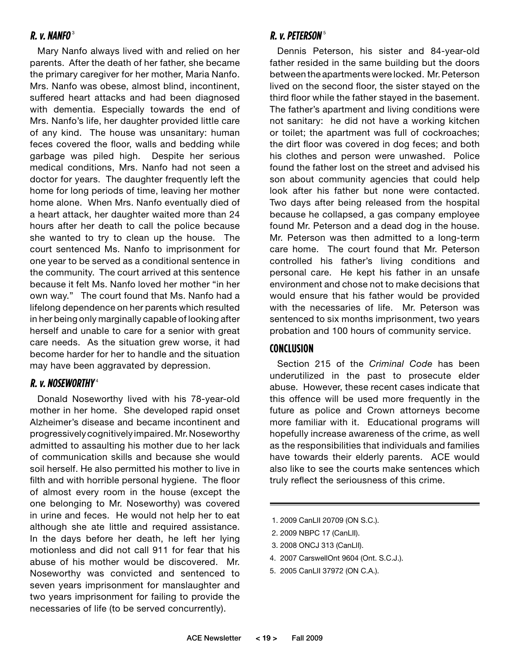### **R. v. Nanfo** <sup>3</sup>

Mary Nanfo always lived with and relied on her parents. After the death of her father, she became the primary caregiver for her mother, Maria Nanfo. Mrs. Nanfo was obese, almost blind, incontinent, suffered heart attacks and had been diagnosed with dementia. Especially towards the end of Mrs. Nanfo's life, her daughter provided little care of any kind. The house was unsanitary: human feces covered the floor, walls and bedding while garbage was piled high. Despite her serious medical conditions, Mrs. Nanfo had not seen a doctor for years. The daughter frequently left the home for long periods of time, leaving her mother home alone. When Mrs. Nanfo eventually died of a heart attack, her daughter waited more than 24 hours after her death to call the police because she wanted to try to clean up the house. The court sentenced Ms. Nanfo to imprisonment for one year to be served as a conditional sentence in the community. The court arrived at this sentence because it felt Ms. Nanfo loved her mother "in her own way." The court found that Ms. Nanfo had a lifelong dependence on her parents which resulted in her being only marginally capable of looking after herself and unable to care for a senior with great care needs. As the situation grew worse, it had become harder for her to handle and the situation may have been aggravated by depression.

### **R. v. Noseworthy** <sup>4</sup>

Donald Noseworthy lived with his 78-year-old mother in her home. She developed rapid onset Alzheimer's disease and became incontinent and progressively cognitively impaired. Mr. Noseworthy admitted to assaulting his mother due to her lack of communication skills and because she would soil herself. He also permitted his mother to live in filth and with horrible personal hygiene. The floor of almost every room in the house (except the one belonging to Mr. Noseworthy) was covered in urine and feces. He would not help her to eat although she ate little and required assistance. In the days before her death, he left her lying motionless and did not call 911 for fear that his abuse of his mother would be discovered. Mr. Noseworthy was convicted and sentenced to seven years imprisonment for manslaughter and two years imprisonment for failing to provide the necessaries of life (to be served concurrently).

### **R. v. Peterson** <sup>5</sup>

Dennis Peterson, his sister and 84-year-old father resided in the same building but the doors between the apartments were locked. Mr. Peterson lived on the second floor, the sister stayed on the third floor while the father stayed in the basement. The father's apartment and living conditions were not sanitary: he did not have a working kitchen or toilet; the apartment was full of cockroaches; the dirt floor was covered in dog feces; and both his clothes and person were unwashed. Police found the father lost on the street and advised his son about community agencies that could help look after his father but none were contacted. Two days after being released from the hospital because he collapsed, a gas company employee found Mr. Peterson and a dead dog in the house. Mr. Peterson was then admitted to a long-term care home. The court found that Mr. Peterson controlled his father's living conditions and personal care. He kept his father in an unsafe environment and chose not to make decisions that would ensure that his father would be provided with the necessaries of life. Mr. Peterson was sentenced to six months imprisonment, two years probation and 100 hours of community service.

### **Conclusion**

Section 215 of the *Criminal Code* has been underutilized in the past to prosecute elder abuse. However, these recent cases indicate that this offence will be used more frequently in the future as police and Crown attorneys become more familiar with it. Educational programs will hopefully increase awareness of the crime, as well as the responsibilities that individuals and families have towards their elderly parents. ACE would also like to see the courts make sentences which truly reflect the seriousness of this crime.

- 1. 2009 CanLII 20709 (ON S.C.).
- 2. 2009 NBPC 17 (CanLII).
- 3. 2008 ONCJ 313 (CanLII).
- 4. 2007 CarswellOnt 9604 (Ont. S.C.J.).
- 5. 2005 CanLII 37972 (ON C.A.).